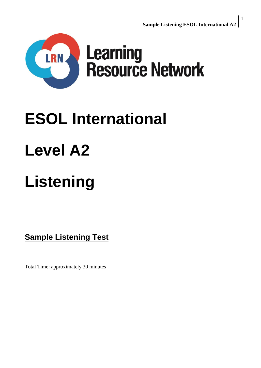

# **ESOL International**

# **Level A2**

# **Listening**

**Sample Listening Test**

Total Time: approximately 30 minutes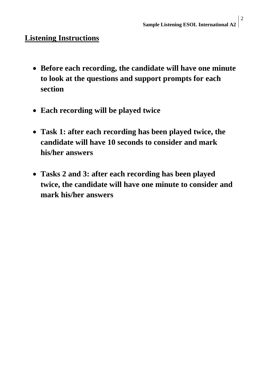### **Listening Instructions**

- **Before each recording, the candidate will have one minute to look at the questions and support prompts for each section**
- **Each recording will be played twice**
- **Task 1: after each recording has been played twice, the candidate will have 10 seconds to consider and mark his/her answers**
- **Tasks 2 and 3: after each recording has been played twice, the candidate will have one minute to consider and mark his/her answers**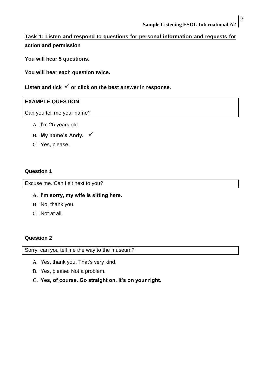### **Task 1: Listen and respond to questions for personal information and requests for action and permission**

**You will hear 5 questions.**

**You will hear each question twice.**

Listen and tick  $\checkmark$  or click on the best answer in response.

#### **EXAMPLE QUESTION**

Can you tell me your name?

- A. I'm 25 years old.
- **B. My name's Andy.**
- C. Yes, please.

#### **Question 1**

Excuse me. Can I sit next to you?

#### **A. I'm sorry, my wife is sitting here.**

- B. No, thank you.
- C. Not at all.

#### **Question 2**

Sorry, can you tell me the way to the museum?

- A. Yes, thank you. That's very kind.
- B. Yes, please. Not a problem.
- **C. Yes, of course. Go straight on. It's on your right.**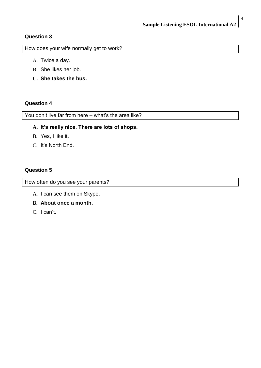#### **Question 3**

How does your wife normally get to work?

- A. Twice a day.
- B. She likes her job.
- **C. She takes the bus.**

#### **Question 4**

You don't live far from here – what's the area like?

#### **A. It's really nice. There are lots of shops.**

- B. Yes, I like it.
- C. It's North End.

#### **Question 5**

How often do you see your parents?

- A. I can see them on Skype.
- **B. About once a month.**
- C. I can't.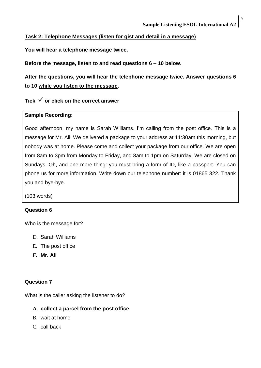#### **Task 2: Telephone Messages (listen for gist and detail in a message)**

**You will hear a telephone message twice.**

**Before the message, listen to and read questions 6 – 10 below.**

**After the questions, you will hear the telephone message twice. Answer questions 6 to 10 while you listen to the message.**

Tick  $\checkmark$  or click on the correct answer

#### **Sample Recording:**

Good afternoon, my name is Sarah Williams. I'm calling from the post office. This is a message for Mr. Ali. We delivered a package to your address at 11:30am this morning, but nobody was at home. Please come and collect your package from our office. We are open from 8am to 3pm from Monday to Friday, and 8am to 1pm on Saturday. We are closed on Sundays. Oh, and one more thing: you must bring a form of ID, like a passport. You can phone us for more information. Write down our telephone number: it is 01865 322. Thank you and bye-bye.

(103 words)

#### **Question 6**

Who is the message for?

- D. Sarah Williams
- E. The post office
- **F. Mr. Ali**

#### **Question 7**

What is the caller asking the listener to do?

#### **A. collect a parcel from the post office**

- B. wait at home
- C. call back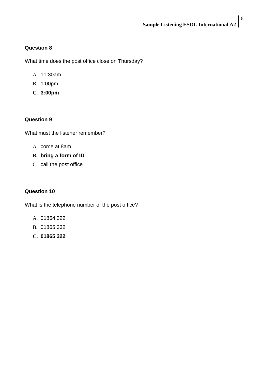#### **Question 8**

What time does the post office close on Thursday?

- A. 11:30am
- B. 1:00pm
- **C. 3:00pm**

#### **Question 9**

What must the listener remember?

- A. come at 8am
- **B. bring a form of ID**
- C. call the post office

#### **Question 10**

What is the telephone number of the post office?

- A. 01864 322
- B. 01865 332
- **C. 01865 322**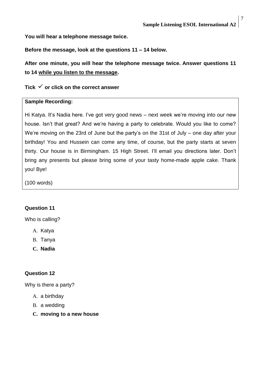**You will hear a telephone message twice.**

**Before the message, look at the questions 11 – 14 below.**

**After one minute, you will hear the telephone message twice. Answer questions 11 to 14 while you listen to the message.**

#### Tick  $\checkmark$  or click on the correct answer

#### **Sample Recording:**

Hi Katya. It's Nadia here. I've got very good news – next week we're moving into our new house. Isn't that great? And we're having a party to celebrate. Would you like to come? We're moving on the 23rd of June but the party's on the 31st of July – one day after your birthday! You and Hussein can come any time, of course, but the party starts at seven thirty. Our house is in Birmingham. 15 High Street. I'll email you directions later. Don't bring any presents but please bring some of your tasty home-made apple cake. Thank you! Bye!

(100 words)

#### **Question 11**

Who is calling?

- A. Katya
- B. Tanya
- **C. Nadia**

#### **Question 12**

Why is there a party?

- A. a birthday
- B. a wedding
- **C. moving to a new house**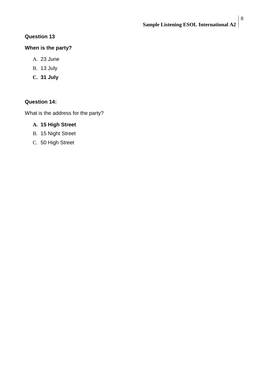#### **Question 13**

#### **When is the party?**

- A. 23 June
- B. 13 July
- **C. 31 July**

#### **Question 14:**

What is the address for the party?

#### **A. 15 High Street**

- B. 15 Night Street
- C. 50 High Street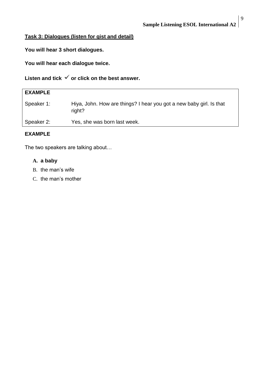#### **Task 3: Dialogues (listen for gist and detail)**

**You will hear 3 short dialogues.**

**You will hear each dialogue twice.**

Listen and tick  $\checkmark$  or click on the best answer.

| <b>EXAMPLE</b> |                                                                               |
|----------------|-------------------------------------------------------------------------------|
| Speaker 1:     | Hiya, John. How are things? I hear you got a new baby girl. Is that<br>right? |
| Speaker 2:     | Yes, she was born last week.                                                  |

#### **EXAMPLE**

The two speakers are talking about…

#### **A. a baby**

- B. the man's wife
- C. the man's mother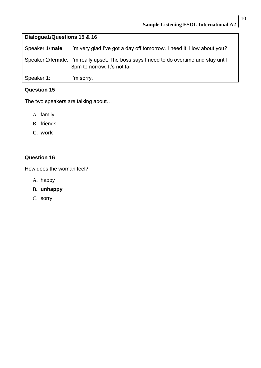## **Dialogue1/Questions 15 & 16**

Speaker 1/**male**: I'm very glad I've got a day off tomorrow. I need it. How about you? Speaker 2/**female**: I'm really upset. The boss says I need to do overtime and stay until 8pm tomorrow. It's not fair. Speaker 1: I'm sorry.

#### **Question 15**

The two speakers are talking about…

- A. family
- B. friends
- **C. work**

#### **Question 16**

How does the woman feel?

- A. happy
- **B. unhappy**
- C. sorry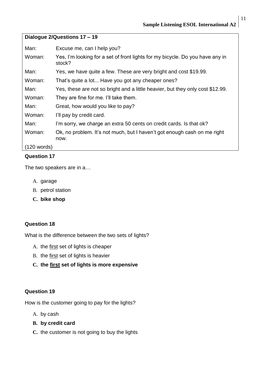| Dialogue 2/Questions 17 - 19 |                                                                                         |  |
|------------------------------|-----------------------------------------------------------------------------------------|--|
| Man:                         | Excuse me, can I help you?                                                              |  |
| Woman:                       | Yes, I'm looking for a set of front lights for my bicycle. Do you have any in<br>stock? |  |
| Man:                         | Yes, we have quite a few. These are very bright and cost \$19.99.                       |  |
| Woman:                       | That's quite a lot Have you got any cheaper ones?                                       |  |
| Man:                         | Yes, these are not so bright and a little heavier, but they only cost \$12.99.          |  |
| Woman:                       | They are fine for me. I'll take them.                                                   |  |
| Man:                         | Great, how would you like to pay?                                                       |  |
| Woman:                       | I'll pay by credit card.                                                                |  |
| Man:                         | I'm sorry, we charge an extra 50 cents on credit cards. Is that ok?                     |  |
| Woman:                       | Ok, no problem. It's not much, but I haven't got enough cash on me right<br>now.        |  |
| (120 words)                  |                                                                                         |  |

#### **Question 17**

The two speakers are in a…

- A. garage
- B. petrol station
- **C. bike shop**

#### **Question 18**

What is the difference between the two sets of lights?

- A. the first set of lights is cheaper
- B. the first set of lights is heavier
- **C. the first set of lights is more expensive**

#### **Question 19**

How is the customer going to pay for the lights?

- A. by cash
- **B. by credit card**
- **C.** the customer is not going to buy the lights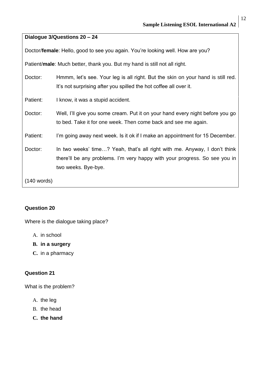| Dialogue 3/Questions 20 - 24                                                   |                                                                                                                                                                                |  |
|--------------------------------------------------------------------------------|--------------------------------------------------------------------------------------------------------------------------------------------------------------------------------|--|
| Doctor/female: Hello, good to see you again. You're looking well. How are you? |                                                                                                                                                                                |  |
| Patient/male: Much better, thank you. But my hand is still not all right.      |                                                                                                                                                                                |  |
| Doctor:                                                                        | Hmmm, let's see. Your leg is all right. But the skin on your hand is still red.<br>It's not surprising after you spilled the hot coffee all over it.                           |  |
| Patient:                                                                       | I know, it was a stupid accident.                                                                                                                                              |  |
| Doctor:                                                                        | Well, I'll give you some cream. Put it on your hand every night before you go<br>to bed. Take it for one week. Then come back and see me again.                                |  |
| Patient:                                                                       | I'm going away next week. Is it ok if I make an appointment for 15 December.                                                                                                   |  |
| Doctor:                                                                        | In two weeks' time? Yeah, that's all right with me. Anyway, I don't think<br>there'll be any problems. I'm very happy with your progress. So see you in<br>two weeks. Bye-bye. |  |
| $(140$ words)                                                                  |                                                                                                                                                                                |  |

#### **Question 20**

Where is the dialogue taking place?

- A. in school
- **B. in a surgery**
- **C.** in a pharmacy

#### **Question 21**

What is the problem?

- A. the leg
- B. the head
- **C. the hand**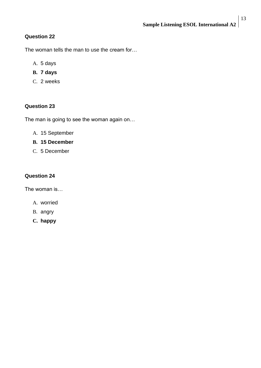#### **Question 22**

The woman tells the man to use the cream for…

- A. 5 days
- **B. 7 days**
- C. 2 weeks

#### **Question 23**

The man is going to see the woman again on…

- A. 15 September
- **B. 15 December**
- C. 5 December

#### **Question 24**

The woman is…

- A. worried
- B. angry
- **C. happy**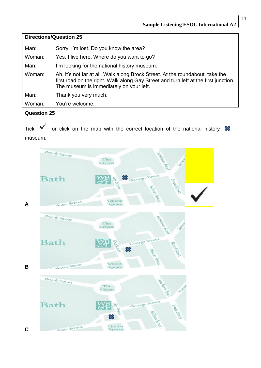| <b>Directions/Question 25</b> |                                                                                                                                                                                                                 |  |
|-------------------------------|-----------------------------------------------------------------------------------------------------------------------------------------------------------------------------------------------------------------|--|
| Man:                          | Sorry, I'm lost. Do you know the area?                                                                                                                                                                          |  |
| Woman:                        | Yes, I live here. Where do you want to go?                                                                                                                                                                      |  |
| Man:                          | I'm looking for the national history museum.                                                                                                                                                                    |  |
| Woman:                        | Ah, it's not far at all. Walk along Brock Street. At the roundabout, take the<br>first road on the right. Walk along Gay Street and turn left at the first junction.<br>The museum is immediately on your left. |  |
| Man:                          | Thank you very much.                                                                                                                                                                                            |  |
| Woman:                        | You're welcome.                                                                                                                                                                                                 |  |

#### **Question 25**

Tick  $\checkmark$  or click on the map with the correct location of the national history  $\mathcal X$ museum.



#### 14